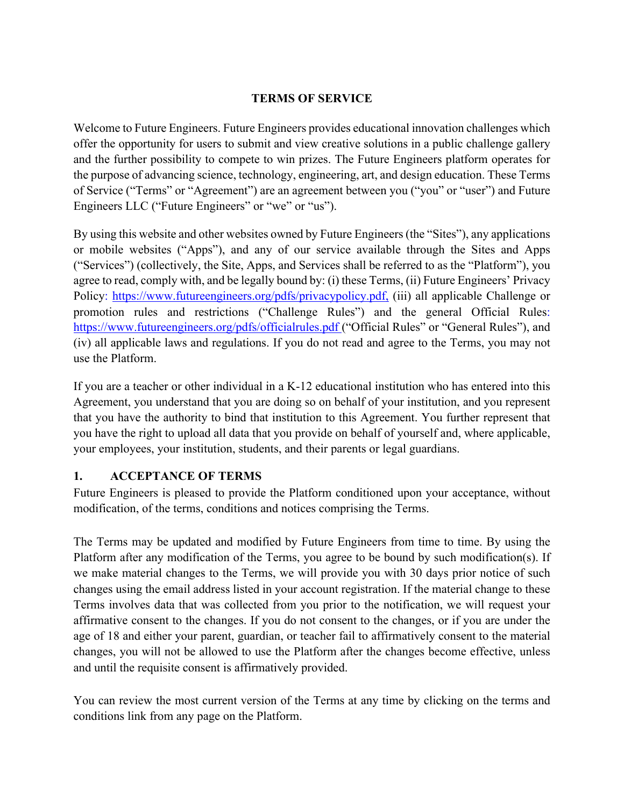#### **TERMS OF SERVICE**

Welcome to Future Engineers. Future Engineers provides educational innovation challenges which offer the opportunity for users to submit and view creative solutions in a public challenge gallery and the further possibility to compete to win prizes. The Future Engineers platform operates for the purpose of advancing science, technology, engineering, art, and design education. These Terms of Service ("Terms" or "Agreement") are an agreement between you ("you" or "user") and Future Engineers LLC ("Future Engineers" or "we" or "us").

By using this website and other websites owned by Future Engineers (the "Sites"), any applications or mobile websites ("Apps"), and any of our service available through the Sites and Apps ("Services") (collectively, the Site, Apps, and Services shall be referred to as the "Platform"), you agree to read, comply with, and be legally bound by: (i) these Terms, (ii) Future Engineers' Privacy Policy: https://www.futureengineers.org/pdfs/privacypolicy.pdf. (iii) all applicable Challenge or promotion rules and restrictions ("Challenge Rules") and the general Official Rules: https://www.futureengineers.org/pdfs/officialrules.pdf ("Official Rules" or "General Rules"), and (iv) all applicable laws and regulations. If you do not read and agree to the Terms, you may not use the Platform.

If you are a teacher or other individual in a K-12 educational institution who has entered into this Agreement, you understand that you are doing so on behalf of your institution, and you represent that you have the authority to bind that institution to this Agreement. You further represent that you have the right to upload all data that you provide on behalf of yourself and, where applicable, your employees, your institution, students, and their parents or legal guardians.

## **1. ACCEPTANCE OF TERMS**

Future Engineers is pleased to provide the Platform conditioned upon your acceptance, without modification, of the terms, conditions and notices comprising the Terms.

The Terms may be updated and modified by Future Engineers from time to time. By using the Platform after any modification of the Terms, you agree to be bound by such modification(s). If we make material changes to the Terms, we will provide you with 30 days prior notice of such changes using the email address listed in your account registration. If the material change to these Terms involves data that was collected from you prior to the notification, we will request your affirmative consent to the changes. If you do not consent to the changes, or if you are under the age of 18 and either your parent, guardian, or teacher fail to affirmatively consent to the material changes, you will not be allowed to use the Platform after the changes become effective, unless and until the requisite consent is affirmatively provided.

You can review the most current version of the Terms at any time by clicking on the terms and conditions link from any page on the Platform.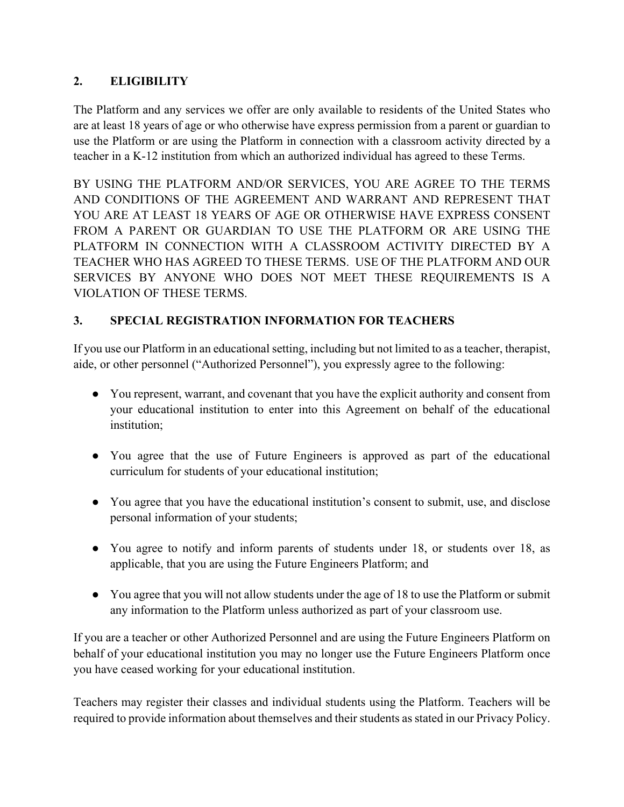# **2. ELIGIBILITY**

The Platform and any services we offer are only available to residents of the United States who are at least 18 years of age or who otherwise have express permission from a parent or guardian to use the Platform or are using the Platform in connection with a classroom activity directed by a teacher in a K-12 institution from which an authorized individual has agreed to these Terms.

BY USING THE PLATFORM AND/OR SERVICES, YOU ARE AGREE TO THE TERMS AND CONDITIONS OF THE AGREEMENT AND WARRANT AND REPRESENT THAT YOU ARE AT LEAST 18 YEARS OF AGE OR OTHERWISE HAVE EXPRESS CONSENT FROM A PARENT OR GUARDIAN TO USE THE PLATFORM OR ARE USING THE PLATFORM IN CONNECTION WITH A CLASSROOM ACTIVITY DIRECTED BY A TEACHER WHO HAS AGREED TO THESE TERMS. USE OF THE PLATFORM AND OUR SERVICES BY ANYONE WHO DOES NOT MEET THESE REQUIREMENTS IS A VIOLATION OF THESE TERMS.

# **3. SPECIAL REGISTRATION INFORMATION FOR TEACHERS**

If you use our Platform in an educational setting, including but not limited to as a teacher, therapist, aide, or other personnel ("Authorized Personnel"), you expressly agree to the following:

- You represent, warrant, and covenant that you have the explicit authority and consent from your educational institution to enter into this Agreement on behalf of the educational institution;
- You agree that the use of Future Engineers is approved as part of the educational curriculum for students of your educational institution;
- You agree that you have the educational institution's consent to submit, use, and disclose personal information of your students;
- You agree to notify and inform parents of students under 18, or students over 18, as applicable, that you are using the Future Engineers Platform; and
- You agree that you will not allow students under the age of 18 to use the Platform or submit any information to the Platform unless authorized as part of your classroom use.

If you are a teacher or other Authorized Personnel and are using the Future Engineers Platform on behalf of your educational institution you may no longer use the Future Engineers Platform once you have ceased working for your educational institution.

Teachers may register their classes and individual students using the Platform. Teachers will be required to provide information about themselves and their students as stated in our Privacy Policy.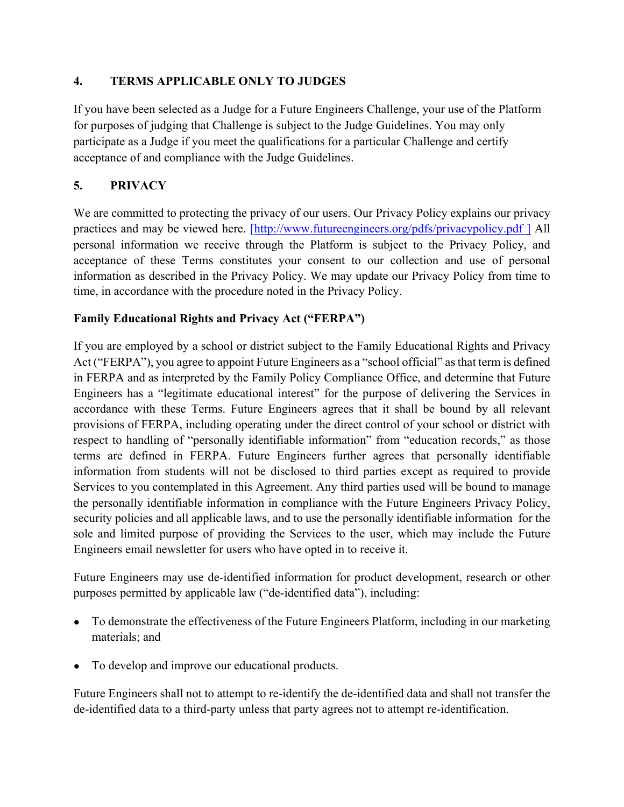#### **4. TERMS APPLICABLE ONLY TO JUDGES**

If you have been selected as a Judge for a Future Engineers Challenge, your use of the Platform for purposes of judging that Challenge is subject to the Judge Guidelines. You may only participate as a Judge if you meet the qualifications for a particular Challenge and certify acceptance of and compliance with the Judge Guidelines.

#### **5. PRIVACY**

We are committed to protecting the privacy of our users. Our Privacy Policy explains our privacy practices and may be viewed here. [http://www.futureengineers.org/pdfs/privacypolicy.pdf ] All personal information we receive through the Platform is subject to the Privacy Policy, and acceptance of these Terms constitutes your consent to our collection and use of personal information as described in the Privacy Policy. We may update our Privacy Policy from time to time, in accordance with the procedure noted in the Privacy Policy.

#### **Family Educational Rights and Privacy Act ("FERPA")**

If you are employed by a school or district subject to the Family Educational Rights and Privacy Act ("FERPA"), you agree to appoint Future Engineers as a "school official" as that term is defined in FERPA and as interpreted by the Family Policy Compliance Office, and determine that Future Engineers has a "legitimate educational interest" for the purpose of delivering the Services in accordance with these Terms. Future Engineers agrees that it shall be bound by all relevant provisions of FERPA, including operating under the direct control of your school or district with respect to handling of "personally identifiable information" from "education records," as those terms are defined in FERPA. Future Engineers further agrees that personally identifiable information from students will not be disclosed to third parties except as required to provide Services to you contemplated in this Agreement. Any third parties used will be bound to manage the personally identifiable information in compliance with the Future Engineers Privacy Policy, security policies and all applicable laws, and to use the personally identifiable information for the sole and limited purpose of providing the Services to the user, which may include the Future Engineers email newsletter for users who have opted in to receive it.

Future Engineers may use de-identified information for product development, research or other purposes permitted by applicable law ("de-identified data"), including:

- To demonstrate the effectiveness of the Future Engineers Platform, including in our marketing materials; and
- To develop and improve our educational products.

Future Engineers shall not to attempt to re-identify the de-identified data and shall not transfer the de-identified data to a third-party unless that party agrees not to attempt re-identification.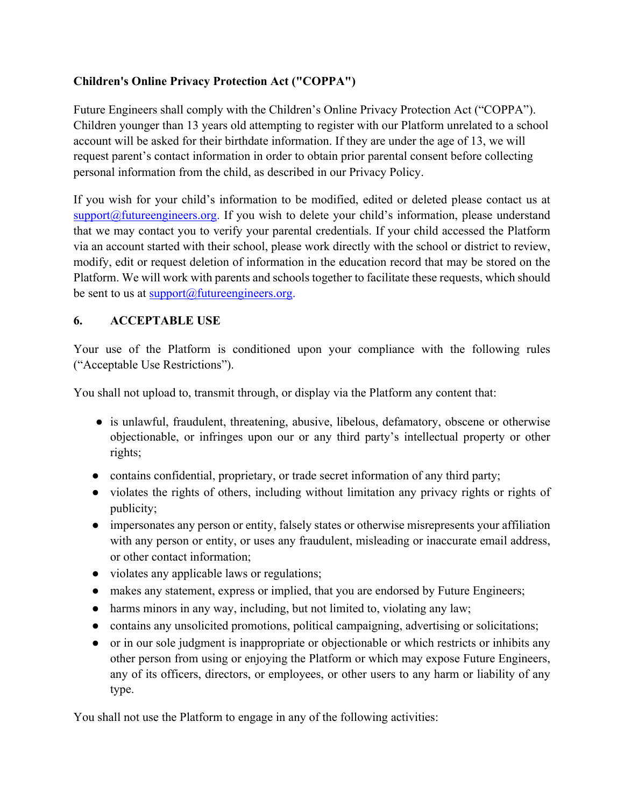## **Children's Online Privacy Protection Act ("COPPA")**

Future Engineers shall comply with the Children's Online Privacy Protection Act ("COPPA"). Children younger than 13 years old attempting to register with our Platform unrelated to a school account will be asked for their birthdate information. If they are under the age of 13, we will request parent's contact information in order to obtain prior parental consent before collecting personal information from the child, as described in our Privacy Policy.

If you wish for your child's information to be modified, edited or deleted please contact us at  $support@future engineers.org.$  If you wish to delete your child's information, please understand that we may contact you to verify your parental credentials. If your child accessed the Platform via an account started with their school, please work directly with the school or district to review, modify, edit or request deletion of information in the education record that may be stored on the Platform. We will work with parents and schools together to facilitate these requests, which should be sent to us at  $support@future engineers.org$ .

#### **6. ACCEPTABLE USE**

Your use of the Platform is conditioned upon your compliance with the following rules ("Acceptable Use Restrictions").

You shall not upload to, transmit through, or display via the Platform any content that:

- is unlawful, fraudulent, threatening, abusive, libelous, defamatory, obscene or otherwise objectionable, or infringes upon our or any third party's intellectual property or other rights;
- contains confidential, proprietary, or trade secret information of any third party;
- violates the rights of others, including without limitation any privacy rights or rights of publicity;
- impersonates any person or entity, falsely states or otherwise misrepresents your affiliation with any person or entity, or uses any fraudulent, misleading or inaccurate email address, or other contact information;
- violates any applicable laws or regulations;
- makes any statement, express or implied, that you are endorsed by Future Engineers;
- harms minors in any way, including, but not limited to, violating any law;
- contains any unsolicited promotions, political campaigning, advertising or solicitations;
- or in our sole judgment is inappropriate or objectionable or which restricts or inhibits any other person from using or enjoying the Platform or which may expose Future Engineers, any of its officers, directors, or employees, or other users to any harm or liability of any type.

You shall not use the Platform to engage in any of the following activities: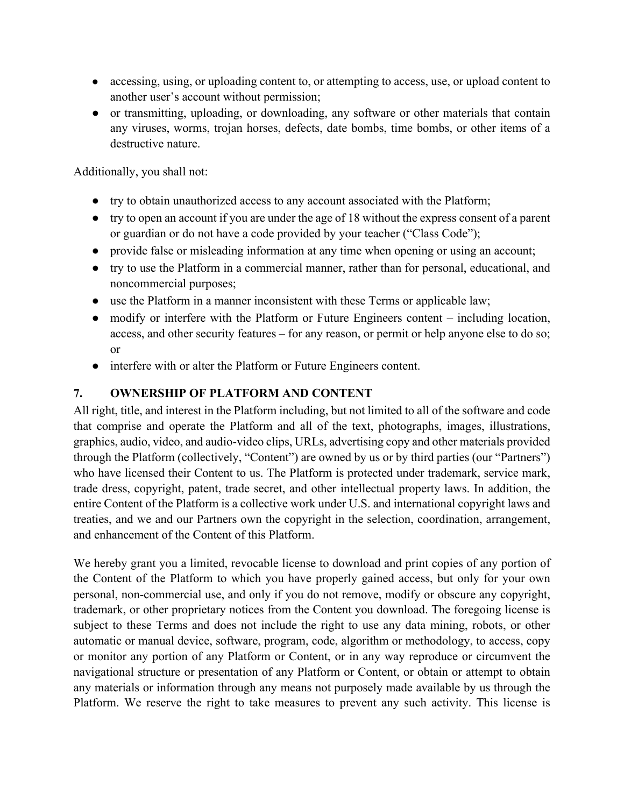- accessing, using, or uploading content to, or attempting to access, use, or upload content to another user's account without permission;
- or transmitting, uploading, or downloading, any software or other materials that contain any viruses, worms, trojan horses, defects, date bombs, time bombs, or other items of a destructive nature.

Additionally, you shall not:

- try to obtain unauthorized access to any account associated with the Platform;
- try to open an account if you are under the age of 18 without the express consent of a parent or guardian or do not have a code provided by your teacher ("Class Code");
- provide false or misleading information at any time when opening or using an account;
- try to use the Platform in a commercial manner, rather than for personal, educational, and noncommercial purposes;
- use the Platform in a manner inconsistent with these Terms or applicable law;
- modify or interfere with the Platform or Future Engineers content including location, access, and other security features – for any reason, or permit or help anyone else to do so; or
- interfere with or alter the Platform or Future Engineers content.

#### **7. OWNERSHIP OF PLATFORM AND CONTENT**

All right, title, and interest in the Platform including, but not limited to all of the software and code that comprise and operate the Platform and all of the text, photographs, images, illustrations, graphics, audio, video, and audio-video clips, URLs, advertising copy and other materials provided through the Platform (collectively, "Content") are owned by us or by third parties (our "Partners") who have licensed their Content to us. The Platform is protected under trademark, service mark, trade dress, copyright, patent, trade secret, and other intellectual property laws. In addition, the entire Content of the Platform is a collective work under U.S. and international copyright laws and treaties, and we and our Partners own the copyright in the selection, coordination, arrangement, and enhancement of the Content of this Platform.

We hereby grant you a limited, revocable license to download and print copies of any portion of the Content of the Platform to which you have properly gained access, but only for your own personal, non-commercial use, and only if you do not remove, modify or obscure any copyright, trademark, or other proprietary notices from the Content you download. The foregoing license is subject to these Terms and does not include the right to use any data mining, robots, or other automatic or manual device, software, program, code, algorithm or methodology, to access, copy or monitor any portion of any Platform or Content, or in any way reproduce or circumvent the navigational structure or presentation of any Platform or Content, or obtain or attempt to obtain any materials or information through any means not purposely made available by us through the Platform. We reserve the right to take measures to prevent any such activity. This license is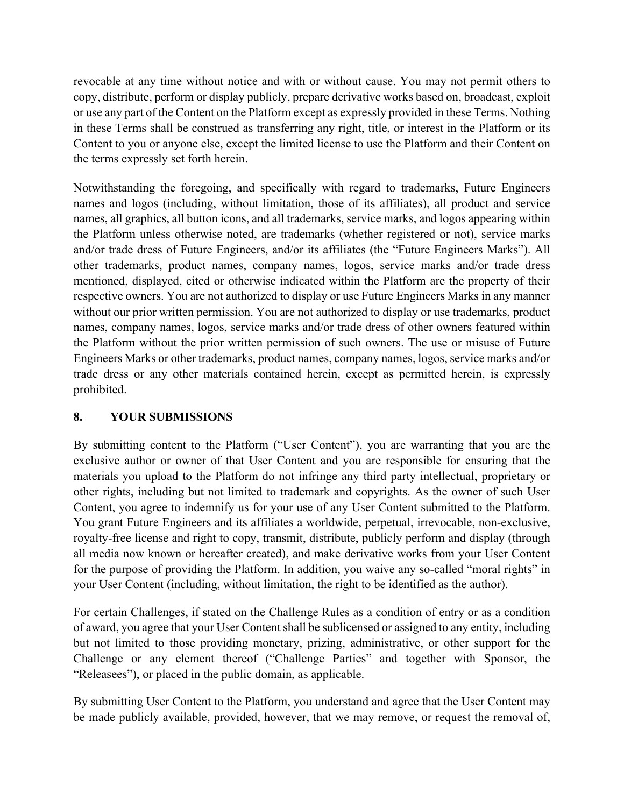revocable at any time without notice and with or without cause. You may not permit others to copy, distribute, perform or display publicly, prepare derivative works based on, broadcast, exploit or use any part of the Content on the Platform except as expressly provided in these Terms. Nothing in these Terms shall be construed as transferring any right, title, or interest in the Platform or its Content to you or anyone else, except the limited license to use the Platform and their Content on the terms expressly set forth herein.

Notwithstanding the foregoing, and specifically with regard to trademarks, Future Engineers names and logos (including, without limitation, those of its affiliates), all product and service names, all graphics, all button icons, and all trademarks, service marks, and logos appearing within the Platform unless otherwise noted, are trademarks (whether registered or not), service marks and/or trade dress of Future Engineers, and/or its affiliates (the "Future Engineers Marks"). All other trademarks, product names, company names, logos, service marks and/or trade dress mentioned, displayed, cited or otherwise indicated within the Platform are the property of their respective owners. You are not authorized to display or use Future Engineers Marks in any manner without our prior written permission. You are not authorized to display or use trademarks, product names, company names, logos, service marks and/or trade dress of other owners featured within the Platform without the prior written permission of such owners. The use or misuse of Future Engineers Marks or other trademarks, product names, company names, logos, service marks and/or trade dress or any other materials contained herein, except as permitted herein, is expressly prohibited.

## **8. YOUR SUBMISSIONS**

By submitting content to the Platform ("User Content"), you are warranting that you are the exclusive author or owner of that User Content and you are responsible for ensuring that the materials you upload to the Platform do not infringe any third party intellectual, proprietary or other rights, including but not limited to trademark and copyrights. As the owner of such User Content, you agree to indemnify us for your use of any User Content submitted to the Platform. You grant Future Engineers and its affiliates a worldwide, perpetual, irrevocable, non-exclusive, royalty-free license and right to copy, transmit, distribute, publicly perform and display (through all media now known or hereafter created), and make derivative works from your User Content for the purpose of providing the Platform. In addition, you waive any so-called "moral rights" in your User Content (including, without limitation, the right to be identified as the author).

For certain Challenges, if stated on the Challenge Rules as a condition of entry or as a condition of award, you agree that your User Content shall be sublicensed or assigned to any entity, including but not limited to those providing monetary, prizing, administrative, or other support for the Challenge or any element thereof ("Challenge Parties" and together with Sponsor, the "Releasees"), or placed in the public domain, as applicable.

By submitting User Content to the Platform, you understand and agree that the User Content may be made publicly available, provided, however, that we may remove, or request the removal of,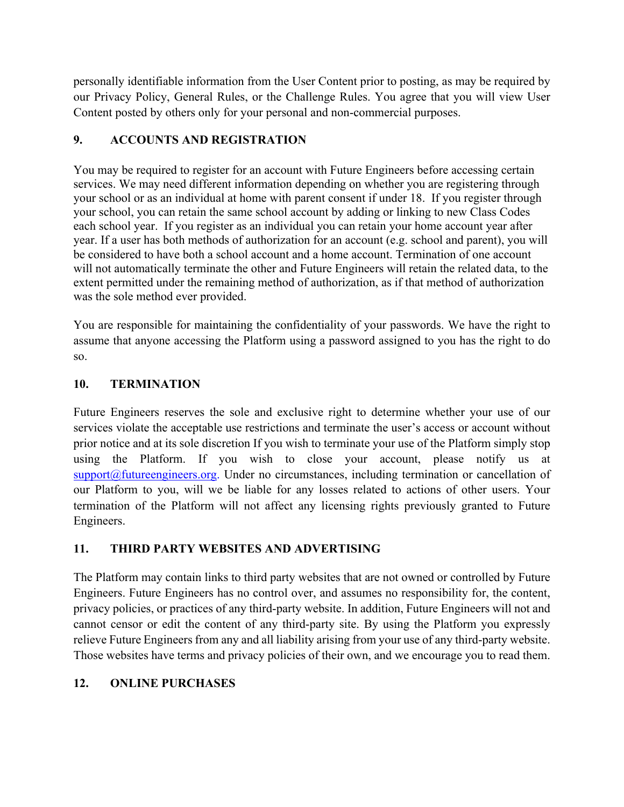personally identifiable information from the User Content prior to posting, as may be required by our Privacy Policy, General Rules, or the Challenge Rules. You agree that you will view User Content posted by others only for your personal and non-commercial purposes.

## **9. ACCOUNTS AND REGISTRATION**

You may be required to register for an account with Future Engineers before accessing certain services. We may need different information depending on whether you are registering through your school or as an individual at home with parent consent if under 18. If you register through your school, you can retain the same school account by adding or linking to new Class Codes each school year. If you register as an individual you can retain your home account year after year. If a user has both methods of authorization for an account (e.g. school and parent), you will be considered to have both a school account and a home account. Termination of one account will not automatically terminate the other and Future Engineers will retain the related data, to the extent permitted under the remaining method of authorization, as if that method of authorization was the sole method ever provided.

You are responsible for maintaining the confidentiality of your passwords. We have the right to assume that anyone accessing the Platform using a password assigned to you has the right to do so.

#### **10. TERMINATION**

Future Engineers reserves the sole and exclusive right to determine whether your use of our services violate the acceptable use restrictions and terminate the user's access or account without prior notice and at its sole discretion If you wish to terminate your use of the Platform simply stop using the Platform. If you wish to close your account, please notify us at support@futureengineers.org. Under no circumstances, including termination or cancellation of our Platform to you, will we be liable for any losses related to actions of other users. Your termination of the Platform will not affect any licensing rights previously granted to Future Engineers.

## **11. THIRD PARTY WEBSITES AND ADVERTISING**

The Platform may contain links to third party websites that are not owned or controlled by Future Engineers. Future Engineers has no control over, and assumes no responsibility for, the content, privacy policies, or practices of any third-party website. In addition, Future Engineers will not and cannot censor or edit the content of any third-party site. By using the Platform you expressly relieve Future Engineers from any and all liability arising from your use of any third-party website. Those websites have terms and privacy policies of their own, and we encourage you to read them.

## **12. ONLINE PURCHASES**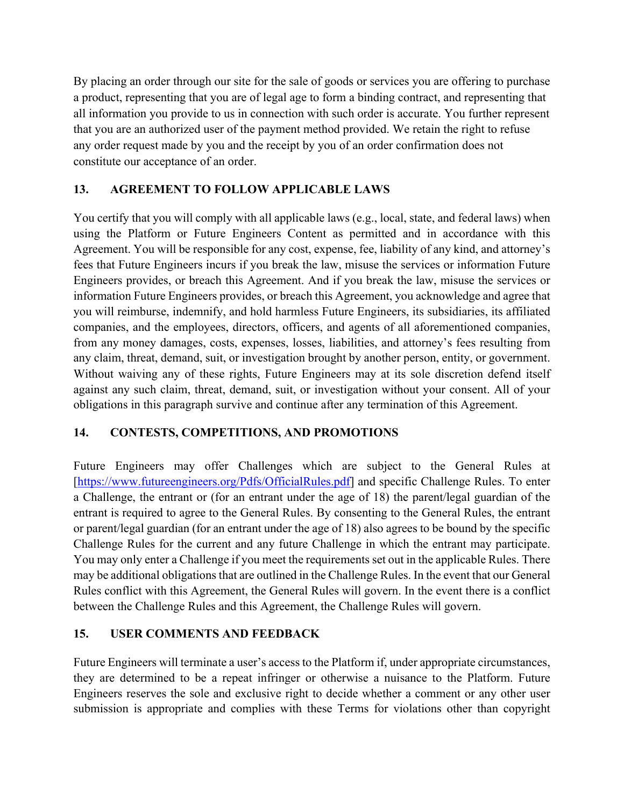By placing an order through our site for the sale of goods or services you are offering to purchase a product, representing that you are of legal age to form a binding contract, and representing that all information you provide to us in connection with such order is accurate. You further represent that you are an authorized user of the payment method provided. We retain the right to refuse any order request made by you and the receipt by you of an order confirmation does not constitute our acceptance of an order.

#### **13. AGREEMENT TO FOLLOW APPLICABLE LAWS**

You certify that you will comply with all applicable laws (e.g., local, state, and federal laws) when using the Platform or Future Engineers Content as permitted and in accordance with this Agreement. You will be responsible for any cost, expense, fee, liability of any kind, and attorney's fees that Future Engineers incurs if you break the law, misuse the services or information Future Engineers provides, or breach this Agreement. And if you break the law, misuse the services or information Future Engineers provides, or breach this Agreement, you acknowledge and agree that you will reimburse, indemnify, and hold harmless Future Engineers, its subsidiaries, its affiliated companies, and the employees, directors, officers, and agents of all aforementioned companies, from any money damages, costs, expenses, losses, liabilities, and attorney's fees resulting from any claim, threat, demand, suit, or investigation brought by another person, entity, or government. Without waiving any of these rights, Future Engineers may at its sole discretion defend itself against any such claim, threat, demand, suit, or investigation without your consent. All of your obligations in this paragraph survive and continue after any termination of this Agreement.

## **14. CONTESTS, COMPETITIONS, AND PROMOTIONS**

Future Engineers may offer Challenges which are subject to the General Rules at [https://www.futureengineers.org/Pdfs/OfficialRules.pdf] and specific Challenge Rules. To enter a Challenge, the entrant or (for an entrant under the age of 18) the parent/legal guardian of the entrant is required to agree to the General Rules. By consenting to the General Rules, the entrant or parent/legal guardian (for an entrant under the age of 18) also agrees to be bound by the specific Challenge Rules for the current and any future Challenge in which the entrant may participate. You may only enter a Challenge if you meet the requirements set out in the applicable Rules. There may be additional obligations that are outlined in the Challenge Rules. In the event that our General Rules conflict with this Agreement, the General Rules will govern. In the event there is a conflict between the Challenge Rules and this Agreement, the Challenge Rules will govern.

## **15. USER COMMENTS AND FEEDBACK**

Future Engineers will terminate a user's access to the Platform if, under appropriate circumstances, they are determined to be a repeat infringer or otherwise a nuisance to the Platform. Future Engineers reserves the sole and exclusive right to decide whether a comment or any other user submission is appropriate and complies with these Terms for violations other than copyright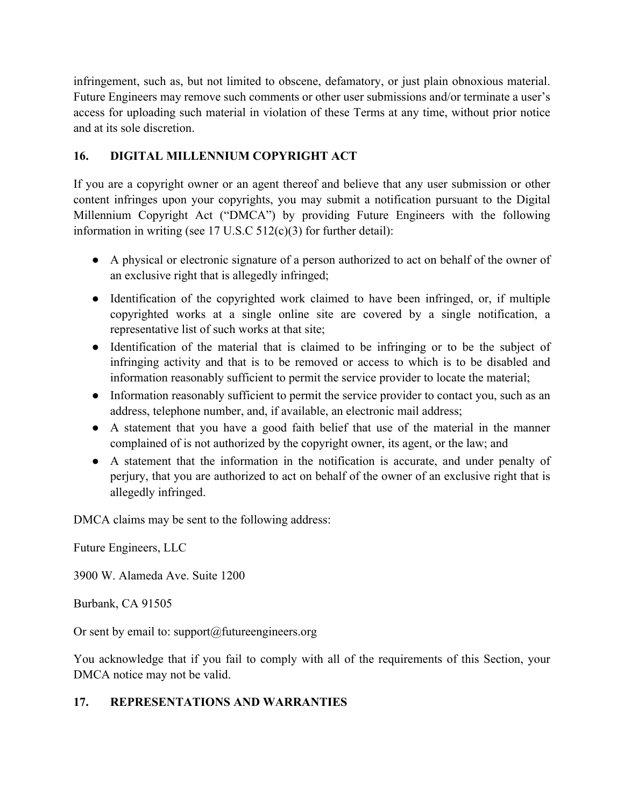infringement, such as, but not limited to obscene, defamatory, or just plain obnoxious material. Future Engineers may remove such comments or other user submissions and/or terminate a user's access for uploading such material in violation of these Terms at any time, without prior notice and at its sole discretion.

## **16. DIGITAL MILLENNIUM COPYRIGHT ACT**

If you are a copyright owner or an agent thereof and believe that any user submission or other content infringes upon your copyrights, you may submit a notification pursuant to the Digital Millennium Copyright Act ("DMCA") by providing Future Engineers with the following information in writing (see 17 U.S.C 512(c)(3) for further detail):

- A physical or electronic signature of a person authorized to act on behalf of the owner of an exclusive right that is allegedly infringed;
- Identification of the copyrighted work claimed to have been infringed, or, if multiple copyrighted works at a single online site are covered by a single notification, a representative list of such works at that site;
- Identification of the material that is claimed to be infringing or to be the subject of infringing activity and that is to be removed or access to which is to be disabled and information reasonably sufficient to permit the service provider to locate the material;
- Information reasonably sufficient to permit the service provider to contact you, such as an address, telephone number, and, if available, an electronic mail address;
- A statement that you have a good faith belief that use of the material in the manner complained of is not authorized by the copyright owner, its agent, or the law; and
- A statement that the information in the notification is accurate, and under penalty of perjury, that you are authorized to act on behalf of the owner of an exclusive right that is allegedly infringed.

DMCA claims may be sent to the following address:

Future Engineers, LLC

3900 W. Alameda Ave. Suite 1200

Burbank, CA 91505

Or sent by email to: support $(a)$ futureengineers.org

You acknowledge that if you fail to comply with all of the requirements of this Section, your DMCA notice may not be valid.

#### **17. REPRESENTATIONS AND WARRANTIES**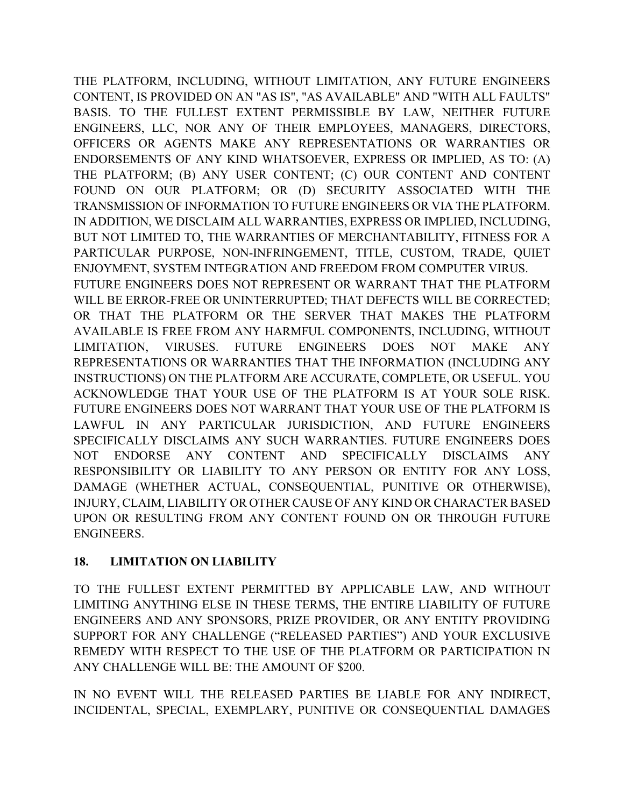THE PLATFORM, INCLUDING, WITHOUT LIMITATION, ANY FUTURE ENGINEERS CONTENT, IS PROVIDED ON AN "AS IS", "AS AVAILABLE" AND "WITH ALL FAULTS" BASIS. TO THE FULLEST EXTENT PERMISSIBLE BY LAW, NEITHER FUTURE ENGINEERS, LLC, NOR ANY OF THEIR EMPLOYEES, MANAGERS, DIRECTORS, OFFICERS OR AGENTS MAKE ANY REPRESENTATIONS OR WARRANTIES OR ENDORSEMENTS OF ANY KIND WHATSOEVER, EXPRESS OR IMPLIED, AS TO: (A) THE PLATFORM; (B) ANY USER CONTENT; (C) OUR CONTENT AND CONTENT FOUND ON OUR PLATFORM; OR (D) SECURITY ASSOCIATED WITH THE TRANSMISSION OF INFORMATION TO FUTURE ENGINEERS OR VIA THE PLATFORM. IN ADDITION, WE DISCLAIM ALL WARRANTIES, EXPRESS OR IMPLIED, INCLUDING, BUT NOT LIMITED TO, THE WARRANTIES OF MERCHANTABILITY, FITNESS FOR A PARTICULAR PURPOSE, NON-INFRINGEMENT, TITLE, CUSTOM, TRADE, QUIET ENJOYMENT, SYSTEM INTEGRATION AND FREEDOM FROM COMPUTER VIRUS. FUTURE ENGINEERS DOES NOT REPRESENT OR WARRANT THAT THE PLATFORM WILL BE ERROR-FREE OR UNINTERRUPTED; THAT DEFECTS WILL BE CORRECTED; OR THAT THE PLATFORM OR THE SERVER THAT MAKES THE PLATFORM AVAILABLE IS FREE FROM ANY HARMFUL COMPONENTS, INCLUDING, WITHOUT LIMITATION, VIRUSES. FUTURE ENGINEERS DOES NOT MAKE ANY REPRESENTATIONS OR WARRANTIES THAT THE INFORMATION (INCLUDING ANY INSTRUCTIONS) ON THE PLATFORM ARE ACCURATE, COMPLETE, OR USEFUL. YOU ACKNOWLEDGE THAT YOUR USE OF THE PLATFORM IS AT YOUR SOLE RISK. FUTURE ENGINEERS DOES NOT WARRANT THAT YOUR USE OF THE PLATFORM IS LAWFUL IN ANY PARTICULAR JURISDICTION, AND FUTURE ENGINEERS SPECIFICALLY DISCLAIMS ANY SUCH WARRANTIES. FUTURE ENGINEERS DOES NOT ENDORSE ANY CONTENT AND SPECIFICALLY DISCLAIMS ANY RESPONSIBILITY OR LIABILITY TO ANY PERSON OR ENTITY FOR ANY LOSS, DAMAGE (WHETHER ACTUAL, CONSEQUENTIAL, PUNITIVE OR OTHERWISE), INJURY, CLAIM, LIABILITY OR OTHER CAUSE OF ANY KIND OR CHARACTER BASED UPON OR RESULTING FROM ANY CONTENT FOUND ON OR THROUGH FUTURE ENGINEERS.

# **18. LIMITATION ON LIABILITY**

TO THE FULLEST EXTENT PERMITTED BY APPLICABLE LAW, AND WITHOUT LIMITING ANYTHING ELSE IN THESE TERMS, THE ENTIRE LIABILITY OF FUTURE ENGINEERS AND ANY SPONSORS, PRIZE PROVIDER, OR ANY ENTITY PROVIDING SUPPORT FOR ANY CHALLENGE ("RELEASED PARTIES") AND YOUR EXCLUSIVE REMEDY WITH RESPECT TO THE USE OF THE PLATFORM OR PARTICIPATION IN ANY CHALLENGE WILL BE: THE AMOUNT OF \$200.

IN NO EVENT WILL THE RELEASED PARTIES BE LIABLE FOR ANY INDIRECT, INCIDENTAL, SPECIAL, EXEMPLARY, PUNITIVE OR CONSEQUENTIAL DAMAGES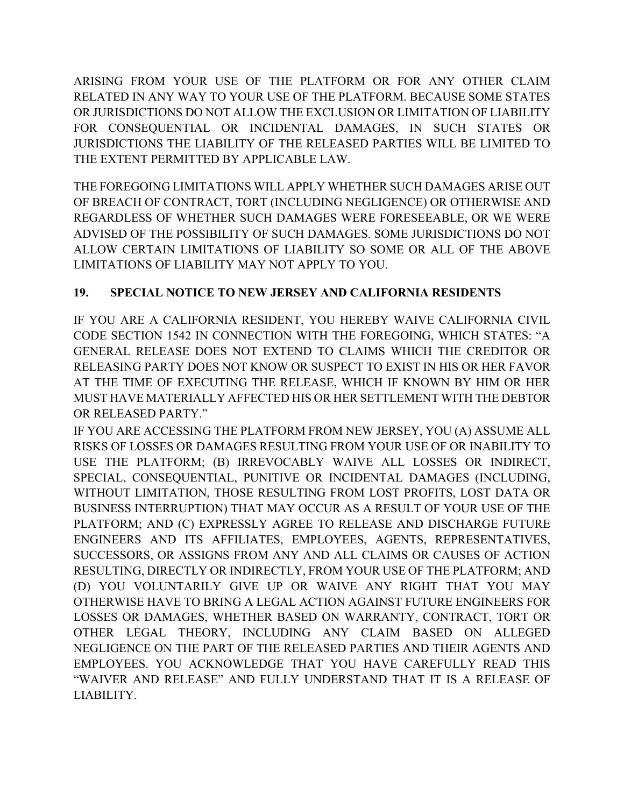ARISING FROM YOUR USE OF THE PLATFORM OR FOR ANY OTHER CLAIM RELATED IN ANY WAY TO YOUR USE OF THE PLATFORM. BECAUSE SOME STATES OR JURISDICTIONS DO NOT ALLOW THE EXCLUSION OR LIMITATION OF LIABILITY FOR CONSEQUENTIAL OR INCIDENTAL DAMAGES, IN SUCH STATES OR JURISDICTIONS THE LIABILITY OF THE RELEASED PARTIES WILL BE LIMITED TO THE EXTENT PERMITTED BY APPLICABLE LAW.

THE FOREGOING LIMITATIONS WILL APPLY WHETHER SUCH DAMAGES ARISE OUT OF BREACH OF CONTRACT, TORT (INCLUDING NEGLIGENCE) OR OTHERWISE AND REGARDLESS OF WHETHER SUCH DAMAGES WERE FORESEEABLE, OR WE WERE ADVISED OF THE POSSIBILITY OF SUCH DAMAGES. SOME JURISDICTIONS DO NOT ALLOW CERTAIN LIMITATIONS OF LIABILITY SO SOME OR ALL OF THE ABOVE LIMITATIONS OF LIABILITY MAY NOT APPLY TO YOU.

# **19. SPECIAL NOTICE TO NEW JERSEY AND CALIFORNIA RESIDENTS**

IF YOU ARE A CALIFORNIA RESIDENT, YOU HEREBY WAIVE CALIFORNIA CIVIL CODE SECTION 1542 IN CONNECTION WITH THE FOREGOING, WHICH STATES: "A GENERAL RELEASE DOES NOT EXTEND TO CLAIMS WHICH THE CREDITOR OR RELEASING PARTY DOES NOT KNOW OR SUSPECT TO EXIST IN HIS OR HER FAVOR AT THE TIME OF EXECUTING THE RELEASE, WHICH IF KNOWN BY HIM OR HER MUST HAVE MATERIALLY AFFECTED HIS OR HER SETTLEMENT WITH THE DEBTOR OR RELEASED PARTY."

IF YOU ARE ACCESSING THE PLATFORM FROM NEW JERSEY, YOU (A) ASSUME ALL RISKS OF LOSSES OR DAMAGES RESULTING FROM YOUR USE OF OR INABILITY TO USE THE PLATFORM; (B) IRREVOCABLY WAIVE ALL LOSSES OR INDIRECT, SPECIAL, CONSEQUENTIAL, PUNITIVE OR INCIDENTAL DAMAGES (INCLUDING, WITHOUT LIMITATION, THOSE RESULTING FROM LOST PROFITS, LOST DATA OR BUSINESS INTERRUPTION) THAT MAY OCCUR AS A RESULT OF YOUR USE OF THE PLATFORM; AND (C) EXPRESSLY AGREE TO RELEASE AND DISCHARGE FUTURE ENGINEERS AND ITS AFFILIATES, EMPLOYEES, AGENTS, REPRESENTATIVES, SUCCESSORS, OR ASSIGNS FROM ANY AND ALL CLAIMS OR CAUSES OF ACTION RESULTING, DIRECTLY OR INDIRECTLY, FROM YOUR USE OF THE PLATFORM; AND (D) YOU VOLUNTARILY GIVE UP OR WAIVE ANY RIGHT THAT YOU MAY OTHERWISE HAVE TO BRING A LEGAL ACTION AGAINST FUTURE ENGINEERS FOR LOSSES OR DAMAGES, WHETHER BASED ON WARRANTY, CONTRACT, TORT OR OTHER LEGAL THEORY, INCLUDING ANY CLAIM BASED ON ALLEGED NEGLIGENCE ON THE PART OF THE RELEASED PARTIES AND THEIR AGENTS AND EMPLOYEES. YOU ACKNOWLEDGE THAT YOU HAVE CAREFULLY READ THIS "WAIVER AND RELEASE" AND FULLY UNDERSTAND THAT IT IS A RELEASE OF LIABILITY.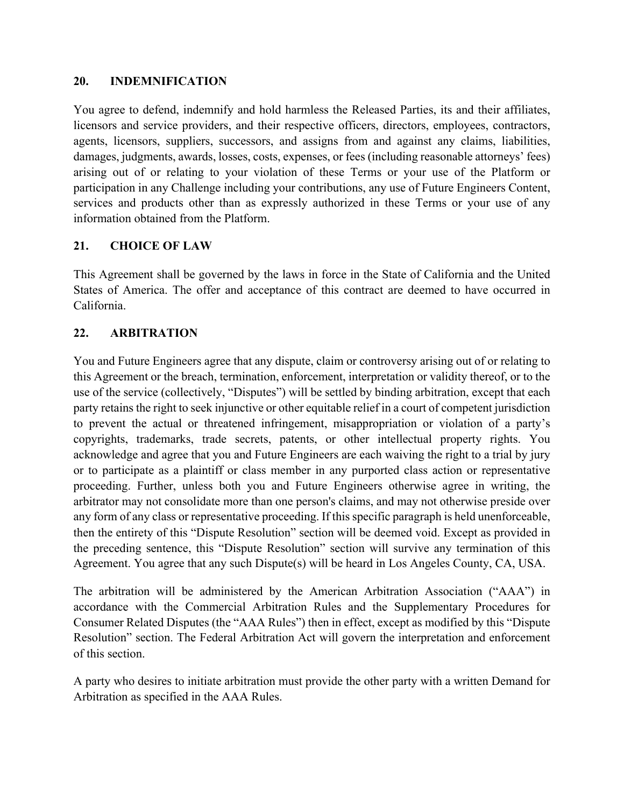#### **20. INDEMNIFICATION**

You agree to defend, indemnify and hold harmless the Released Parties, its and their affiliates, licensors and service providers, and their respective officers, directors, employees, contractors, agents, licensors, suppliers, successors, and assigns from and against any claims, liabilities, damages, judgments, awards, losses, costs, expenses, or fees (including reasonable attorneys' fees) arising out of or relating to your violation of these Terms or your use of the Platform or participation in any Challenge including your contributions, any use of Future Engineers Content, services and products other than as expressly authorized in these Terms or your use of any information obtained from the Platform.

#### **21. CHOICE OF LAW**

This Agreement shall be governed by the laws in force in the State of California and the United States of America. The offer and acceptance of this contract are deemed to have occurred in California.

#### **22. ARBITRATION**

You and Future Engineers agree that any dispute, claim or controversy arising out of or relating to this Agreement or the breach, termination, enforcement, interpretation or validity thereof, or to the use of the service (collectively, "Disputes") will be settled by binding arbitration, except that each party retains the right to seek injunctive or other equitable relief in a court of competent jurisdiction to prevent the actual or threatened infringement, misappropriation or violation of a party's copyrights, trademarks, trade secrets, patents, or other intellectual property rights. You acknowledge and agree that you and Future Engineers are each waiving the right to a trial by jury or to participate as a plaintiff or class member in any purported class action or representative proceeding. Further, unless both you and Future Engineers otherwise agree in writing, the arbitrator may not consolidate more than one person's claims, and may not otherwise preside over any form of any class or representative proceeding. If this specific paragraph is held unenforceable, then the entirety of this "Dispute Resolution" section will be deemed void. Except as provided in the preceding sentence, this "Dispute Resolution" section will survive any termination of this Agreement. You agree that any such Dispute(s) will be heard in Los Angeles County, CA, USA.

The arbitration will be administered by the American Arbitration Association ("AAA") in accordance with the Commercial Arbitration Rules and the Supplementary Procedures for Consumer Related Disputes (the "AAA Rules") then in effect, except as modified by this "Dispute Resolution" section. The Federal Arbitration Act will govern the interpretation and enforcement of this section.

A party who desires to initiate arbitration must provide the other party with a written Demand for Arbitration as specified in the AAA Rules.